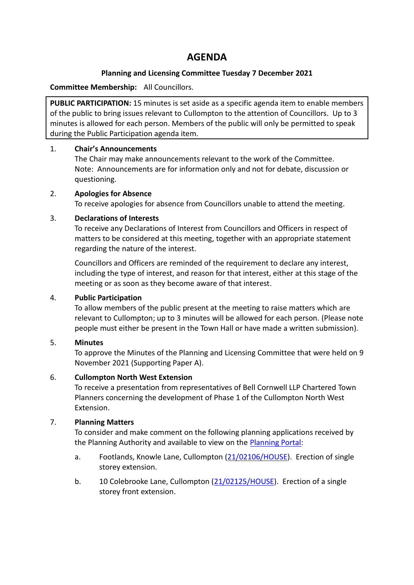# **AGENDA**

# **Planning and Licensing Committee Tuesday 7 December 2021**

# **Committee Membership:** All Councillors.

**PUBLIC PARTICIPATION:** 15 minutes is set aside as a specific agenda item to enable members of the public to bring issues relevant to Cullompton to the attention of Councillors. Up to 3 minutes is allowed for each person. Members of the public will only be permitted to speak during the Public Participation agenda item.

# 1. **Chair's Announcements**

The Chair may make announcements relevant to the work of the Committee. Note: Announcements are for information only and not for debate, discussion or questioning.

# 2. **Apologies for Absence**

To receive apologies for absence from Councillors unable to attend the meeting.

#### 3. **Declarations of Interests**

To receive any Declarations of Interest from Councillors and Officers in respect of matters to be considered at this meeting, together with an appropriate statement regarding the nature of the interest.

Councillors and Officers are reminded of the requirement to declare any interest, including the type of interest, and reason for that interest, either at this stage of the meeting or as soon as they become aware of that interest.

# 4. **Public Participation**

To allow members of the public present at the meeting to raise matters which are relevant to Cullompton; up to 3 minutes will be allowed for each person. (Please note people must either be present in the Town Hall or have made a written submission).

# 5. **Minutes**

To approve the Minutes of the Planning and Licensing Committee that were held on 9 November 2021 (Supporting Paper A).

# 6. **Cullompton North West Extension**

To receive a presentation from representatives of Bell Cornwell LLP Chartered Town Planners concerning the development of Phase 1 of the Cullompton North West Extension.

# 7. **Planning Matters**

To consider and make comment on the following planning applications received by the Planning Authority and available to view on the [Planning Portal:](https://planning.middevon.gov.uk/online-applications/)

- a. Footlands, Knowle Lane, Cullompton [\(21/02106/HOUSE\)](https://planning.middevon.gov.uk/online-applications/applicationDetails.do?activeTab=documents&keyVal=R1KXTBKS07T00). Erection of single storey extension.
- b. 10 Colebrooke Lane, Cullompton [\(21/02125/HOUSE\)](https://planning.middevon.gov.uk/online-applications/applicationDetails.do?activeTab=documents&keyVal=R1OGCDKS07T00). Erection of a single storey front extension.